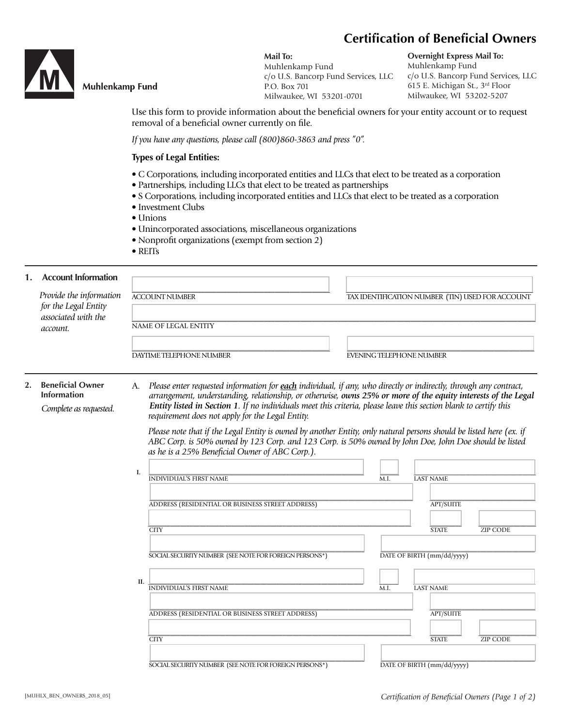# **Certification of Beneficial Owners**



## **Muhlenkamp Fund**

**Mail To:** Muhlenkamp Fund c/o U.S. Bancorp Fund Services, LLC P.O. Box 701 Milwaukee, WI 53201-0701

**Overnight Express Mail To:** Muhlenkamp Fund c/o U.S. Bancorp Fund Services, LLC 615 E. Michigan St., 3rd Floor Milwaukee, WI 53202-5207

Use this form to provide information about the beneficial owners for your entity account or to request removal of a beneficial owner currently on file.

*If you have any questions, please call (800)860-3863 and press "0".*

#### **Types of Legal Entities:**

- C Corporations, including incorporated entities and LLCs that elect to be treated as a corporation
- Partnerships, including LLCs that elect to be treated as partnerships
- S Corporations, including incorporated entities and LLCs that elect to be treated as a corporation
- Investment Clubs
- Unions
- Unincorporated associations, miscellaneous organizations
- Nonprofit organizations (exempt from section 2)
- REITs

#### **1. Account Information**

|    | Provide the information<br>for the Legal Entity<br>associated with the<br>account. |                             | <b>ACCOUNT NUMBER</b>                                                                                                                                                                                                                                                                                                                                                                                       | TAX IDENTIFICATION NUMBER (TIN) USED FOR ACCOUNT |                                 |                            |                 |  |
|----|------------------------------------------------------------------------------------|-----------------------------|-------------------------------------------------------------------------------------------------------------------------------------------------------------------------------------------------------------------------------------------------------------------------------------------------------------------------------------------------------------------------------------------------------------|--------------------------------------------------|---------------------------------|----------------------------|-----------------|--|
|    |                                                                                    | <b>NAME OF LEGAL ENTITY</b> |                                                                                                                                                                                                                                                                                                                                                                                                             |                                                  |                                 |                            |                 |  |
|    |                                                                                    |                             | DAYTIME TELEPHONE NUMBER                                                                                                                                                                                                                                                                                                                                                                                    |                                                  | <b>EVENING TELEPHONE NUMBER</b> |                            |                 |  |
| 2. | <b>Beneficial Owner</b><br><b>Information</b><br>Complete as requested.            | А.                          | Please enter requested information for each individual, if any, who directly or indirectly, through any contract,<br>arrangement, understanding, relationship, or otherwise, owns 25% or more of the equity interests of the Legal<br>Entity listed in Section 1. If no individuals meet this criteria, please leave this section blank to certify this<br>requirement does not apply for the Legal Entity. |                                                  |                                 |                            |                 |  |
|    |                                                                                    |                             | Please note that if the Legal Entity is owned by another Entity, only natural persons should be listed here (ex. if<br>ABC Corp. is 50% owned by 123 Corp. and 123 Corp. is 50% owned by John Doe, John Doe should be listed<br>as he is a 25% Beneficial Owner of ABC Corp.).                                                                                                                              |                                                  |                                 |                            |                 |  |
|    |                                                                                    | I.                          | <b>INDIVIDUAL'S FIRST NAME</b>                                                                                                                                                                                                                                                                                                                                                                              |                                                  | M.I.                            | <b>LAST NAME</b>           |                 |  |
|    |                                                                                    |                             | ADDRESS (RESIDENTIAL OR BUSINESS STREET ADDRESS)                                                                                                                                                                                                                                                                                                                                                            |                                                  |                                 | <b>APT/SUITE</b>           |                 |  |
|    |                                                                                    |                             | <b>CITY</b>                                                                                                                                                                                                                                                                                                                                                                                                 |                                                  |                                 | <b>STATE</b>               | <b>ZIP CODE</b> |  |
|    |                                                                                    |                             | SOCIAL SECURITY NUMBER (SEE NOTE FOR FOREIGN PERSONS*)                                                                                                                                                                                                                                                                                                                                                      |                                                  |                                 | DATE OF BIRTH (mm/dd/yyyy) |                 |  |
|    |                                                                                    | II.                         | <b>INDIVIDUAL'S FIRST NAME</b>                                                                                                                                                                                                                                                                                                                                                                              |                                                  | M.I.                            | <b>LAST NAME</b>           |                 |  |
|    |                                                                                    |                             | ADDRESS (RESIDENTIAL OR BUSINESS STREET ADDRESS)                                                                                                                                                                                                                                                                                                                                                            |                                                  |                                 | <b>APT/SUITE</b>           |                 |  |
|    |                                                                                    |                             | <b>CITY</b>                                                                                                                                                                                                                                                                                                                                                                                                 |                                                  |                                 | <b>STATE</b>               | <b>ZIP CODE</b> |  |
|    |                                                                                    |                             | SOCIAL SECURITY NUMBER (SEE NOTE FOR FOREIGN PERSONS*)                                                                                                                                                                                                                                                                                                                                                      |                                                  |                                 | DATE OF BIRTH (mm/dd/yyyy) |                 |  |